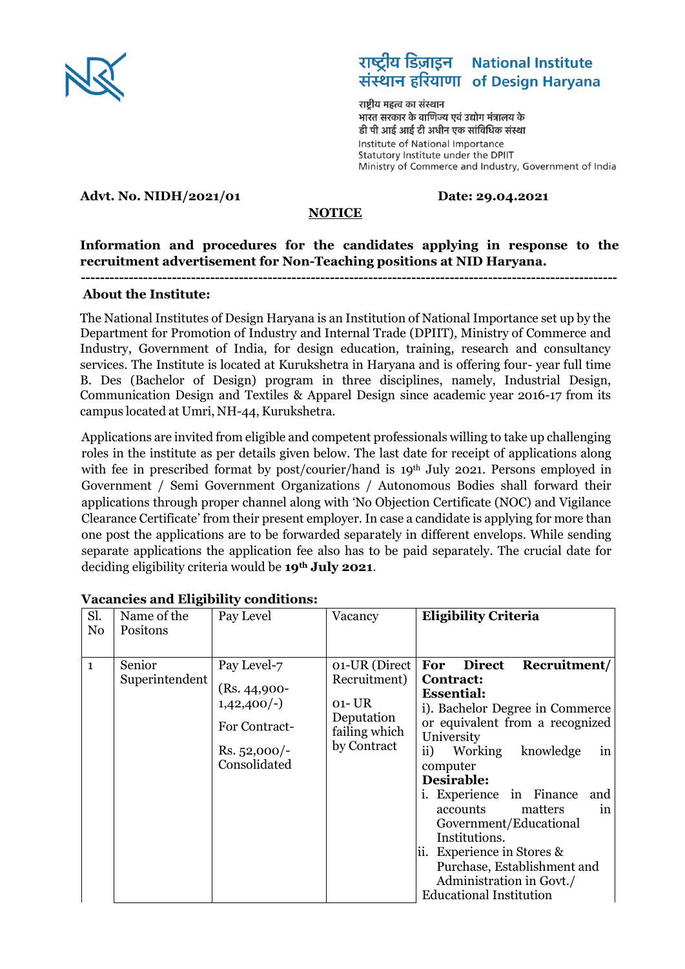

#### राष्ट्रीय डिज़ाइन **National Institute** संस्थान हरियाणा of Design Haryana

राष्टीय महत्व का संस्थान भारत सरकार के वाणिज्य एवं उद्योग मंत्रालय के डी पी आई आई टी अधीन एक सांविधिक संस्था Institute of National Importance Statutory Institute under the DPIIT Ministry of Commerce and Industry, Government of India

### **Advt. No. NIDH/2021/01 Date: 29.04.2021**

#### **NOTICE**

## **Information and procedures for the candidates applying in response to the recruitment advertisement for Non-Teaching positions at NID Haryana.**

**----------------------------------------------------------------------------------------------------------------**

#### **About the Institute:**

The National Institutes of Design Haryana is an Institution of National Importance set up by the Department for Promotion of Industry and Internal Trade (DPIIT), Ministry of Commerce and Industry, Government of India, for design education, training, research and consultancy services. The Institute is located at Kurukshetra in Haryana and is offering four- year full time B. Des (Bachelor of Design) program in three disciplines, namely, Industrial Design, Communication Design and Textiles & Apparel Design since academic year 2016-17 from its campus located at Umri, NH-44, Kurukshetra.

Applications are invited from eligible and competent professionals willing to take up challenging roles in the institute as per details given below. The last date for receipt of applications along with fee in prescribed format by post/courier/hand is 19<sup>th</sup> July 2021. Persons employed in Government / Semi Government Organizations / Autonomous Bodies shall forward their applications through proper channel along with 'No Objection Certificate (NOC) and Vigilance Clearance Certificate' from their present employer. In case a candidate is applying for more than one post the applications are to be forwarded separately in different envelops. While sending separate applications the application fee also has to be paid separately. The crucial date for deciding eligibility criteria would be **19th July 2021**.

| Sl.<br>N <sub>o</sub> | Name of the<br>Positons  | Pay Level                                                                                               | Vacancy                                                                               | <b>Eligibility Criteria</b>                                                                                                                                                                                                                                                                                                                                                                                                                                               |
|-----------------------|--------------------------|---------------------------------------------------------------------------------------------------------|---------------------------------------------------------------------------------------|---------------------------------------------------------------------------------------------------------------------------------------------------------------------------------------------------------------------------------------------------------------------------------------------------------------------------------------------------------------------------------------------------------------------------------------------------------------------------|
| $\mathbf{1}$          | Senior<br>Superintendent | Pay Level-7<br>$(Rs. 44,900-$<br>$1,42,400/-$<br><b>For Contract-</b><br>$Rs. 52,000/-$<br>Consolidated | 01-UR (Direct<br>Recruitment)<br>01- UR<br>Deputation<br>failing which<br>by Contract | <b>Direct</b><br>Recruitment/<br>For<br>Contract:<br><b>Essential:</b><br>i). Bachelor Degree in Commerce<br>or equivalent from a recognized<br>University<br>knowledge<br>ii)<br>Working<br>in<br>computer<br>Desirable:<br>in Finance<br><i>i.</i> Experience<br>and<br>accounts<br>matters<br>in<br>Government/Educational<br>Institutions.<br>ii. Experience in Stores &<br>Purchase, Establishment and<br>Administration in Govt./<br><b>Educational Institution</b> |

#### **Vacancies and Eligibility conditions:**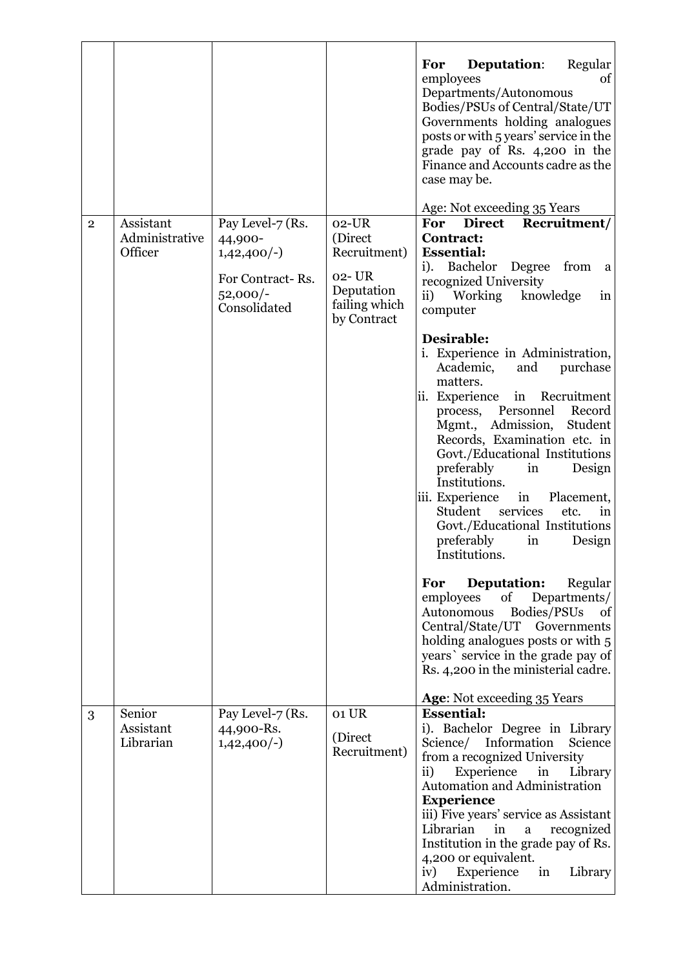|                |                                        |                                                                                               |                                                                             | Regular<br><b>Deputation:</b><br>For<br>employees<br>of<br>Departments/Autonomous<br>Bodies/PSUs of Central/State/UT<br>Governments holding analogues<br>posts or with 5 years' service in the<br>grade pay of Rs. 4,200 in the<br>Finance and Accounts cadre as the<br>case may be.                                                                                                                                                                                                                                                                                                                                                                                                                                                                                              |
|----------------|----------------------------------------|-----------------------------------------------------------------------------------------------|-----------------------------------------------------------------------------|-----------------------------------------------------------------------------------------------------------------------------------------------------------------------------------------------------------------------------------------------------------------------------------------------------------------------------------------------------------------------------------------------------------------------------------------------------------------------------------------------------------------------------------------------------------------------------------------------------------------------------------------------------------------------------------------------------------------------------------------------------------------------------------|
| $\overline{2}$ | Assistant<br>Administrative<br>Officer | Pay Level-7 (Rs.<br>44,900-<br>$1,42,400/-$<br>For Contract-Rs.<br>$52,000/-$<br>Consolidated | $02$ -UR<br>(Direct<br>Recruitment)<br>02-UR<br>Deputation<br>failing which | Age: Not exceeding 35 Years<br>For<br><b>Direct</b><br>Recruitment/<br><b>Contract:</b><br><b>Essential:</b><br>Bachelor<br>from<br>Degree<br>$i$ ).<br>a<br>recognized University<br>Working knowledge<br>$\mathbf{ii}$<br>in<br>computer                                                                                                                                                                                                                                                                                                                                                                                                                                                                                                                                        |
|                |                                        |                                                                                               | by Contract                                                                 | Desirable:<br>i. Experience in Administration,<br>Academic,<br>and<br>purchase<br>matters.<br>ii. Experience<br>in Recruitment<br>Personnel<br>Record<br>process,<br>Mgmt., Admission,<br>Student<br>Records, Examination etc. in<br>Govt./Educational Institutions<br>preferably<br>in<br>Design<br>Institutions.<br>iii. Experience<br>in<br>Placement,<br>services<br>Student<br>etc.<br>in<br>Govt./Educational Institutions<br>preferably<br>in<br>Design<br>Institutions.<br>Deputation:<br>For<br>Regular<br>Departments/<br>of<br>employees<br>Bodies/PSUs<br>Autonomous<br>of<br>Central/State/UT<br>Governments<br>holding analogues posts or with 5<br>years' service in the grade pay of<br>Rs. 4,200 in the ministerial cadre.<br><b>Age:</b> Not exceeding 35 Years |
| 3              | Senior<br>Assistant<br>Librarian       | Pay Level-7 (Rs.<br>44,900-Rs.<br>$1,42,400/-$                                                | 01 UR<br>(Direct<br>Recruitment)                                            | <b>Essential:</b><br>i). Bachelor Degree in Library<br>Information<br>Science/<br>Science<br>from a recognized University<br>Experience<br>$\mathbf{ii}$<br>in<br>Library<br>Automation and Administration<br><b>Experience</b>                                                                                                                                                                                                                                                                                                                                                                                                                                                                                                                                                   |
|                |                                        |                                                                                               |                                                                             | iii) Five years' service as Assistant<br>Librarian<br>in<br>recognized<br>a<br>Institution in the grade pay of Rs.<br>4,200 or equivalent.<br>Experience<br>iv)<br>Library<br>in<br>Administration.                                                                                                                                                                                                                                                                                                                                                                                                                                                                                                                                                                               |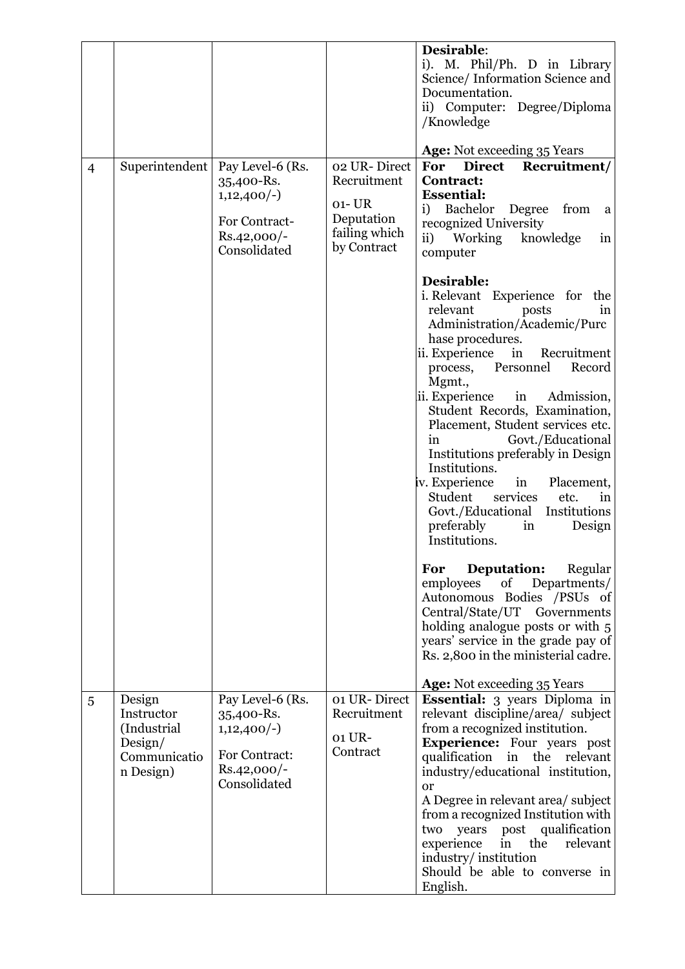|                |                                                                             |                                                                                                  |                                                                         | Desirable:<br>i). M. Phil/Ph. D in Library<br>Science/Information Science and<br>Documentation.<br>ii) Computer: Degree/Diploma<br>/Knowledge                                                                                                                                                                                                                                                                                                                                                                                                                                          |
|----------------|-----------------------------------------------------------------------------|--------------------------------------------------------------------------------------------------|-------------------------------------------------------------------------|----------------------------------------------------------------------------------------------------------------------------------------------------------------------------------------------------------------------------------------------------------------------------------------------------------------------------------------------------------------------------------------------------------------------------------------------------------------------------------------------------------------------------------------------------------------------------------------|
| $\overline{4}$ | Superintendent                                                              | Pay Level-6 (Rs.<br>35,400-Rs.<br>$1,12,400/-$<br>For Contract-<br>$Rs.42,000/-$                 | 02 UR-Direct<br>Recruitment<br>$01 - UR$<br>Deputation<br>failing which | <b>Age:</b> Not exceeding 35 Years<br>For<br><b>Direct</b><br>Recruitment/<br><b>Contract:</b><br><b>Essential:</b><br><b>Bachelor</b><br>Degree<br>i)<br>from<br>a<br>recognized University<br>knowledge<br>$\mathbf{ii}$<br>Working<br>in                                                                                                                                                                                                                                                                                                                                            |
|                |                                                                             | Consolidated                                                                                     | by Contract                                                             | computer<br>Desirable:<br>i. Relevant Experience for the<br>relevant<br>posts<br>in<br>Administration/Academic/Purc<br>hase procedures.<br>ii. Experience<br>in<br>Recruitment<br>Personnel<br>Record<br>process,<br>Mgmt.,<br>ii. Experience<br>in<br>Admission,<br>Student Records, Examination,<br>Placement, Student services etc.<br>Govt./Educational<br>in<br>Institutions preferably in Design<br>Institutions.<br>iv. Experience<br>in<br>Placement,<br>services<br>Student<br>etc.<br>1n<br>Govt./Educational<br>Institutions<br>preferably<br>in<br>Design<br>Institutions. |
|                |                                                                             |                                                                                                  |                                                                         | Deputation:<br>Regular<br>For<br>Departments/<br>employees<br>of<br>Autonomous Bodies /PSUs of<br>Central/State/UT<br>Governments<br>holding analogue posts or with 5<br>years' service in the grade pay of<br>Rs. 2,800 in the ministerial cadre.<br>Age: Not exceeding 35 Years                                                                                                                                                                                                                                                                                                      |
| 5              | Design<br>Instructor<br>(Industrial<br>Design/<br>Communicatio<br>n Design) | Pay Level-6 (Rs.<br>35,400-Rs.<br>$1,12,400/-$<br>For Contract:<br>$Rs.42,000/-$<br>Consolidated | 01 UR-Direct<br>Recruitment<br>01 UR-<br>Contract                       | <b>Essential:</b> 3 years Diploma in<br>relevant discipline/area/ subject<br>from a recognized institution.<br><b>Experience:</b> Four years post<br>qualification<br>in<br>the relevant<br>industry/educational institution,<br><sub>or</sub><br>A Degree in relevant area/ subject<br>from a recognized Institution with<br>post qualification<br>years<br>two<br>the<br>in<br>relevant<br>experience<br>industry/institution<br>Should be able to converse in<br>English.                                                                                                           |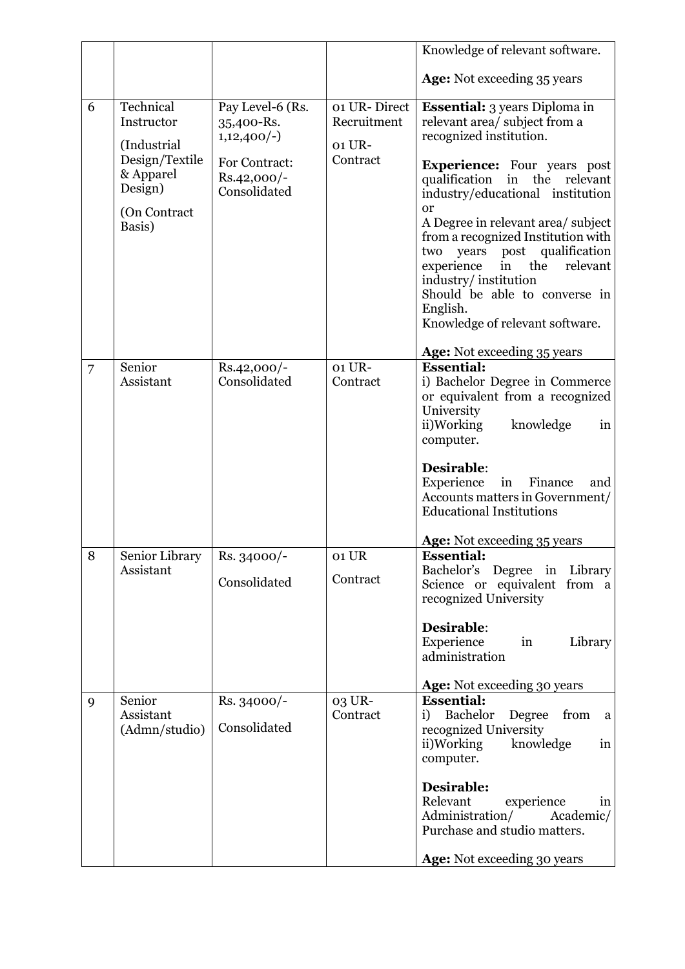|                |                             |                             |                    | Knowledge of relevant software.                                          |
|----------------|-----------------------------|-----------------------------|--------------------|--------------------------------------------------------------------------|
|                |                             |                             |                    | <b>Age:</b> Not exceeding 35 years                                       |
| 6              | Technical                   | Pay Level-6 (Rs.            | 01 UR-Direct       | <b>Essential:</b> 3 years Diploma in                                     |
|                | Instructor                  | 35,400-Rs.                  | Recruitment        | relevant area/ subject from a                                            |
|                | (Industrial                 | $1,12,400/-$                | 01 UR-             | recognized institution.                                                  |
|                | Design/Textile              | For Contract:               | Contract           | <b>Experience:</b> Four years post                                       |
|                | & Apparel<br>Design)        | Rs.42,000/-<br>Consolidated |                    | qualification<br>in the relevant                                         |
|                | (On Contract                |                             |                    | industry/educational institution<br><b>or</b>                            |
|                | Basis)                      |                             |                    | A Degree in relevant area/ subject                                       |
|                |                             |                             |                    | from a recognized Institution with<br>post qualification<br>two<br>years |
|                |                             |                             |                    | experience<br>the<br>relevant<br>in                                      |
|                |                             |                             |                    | industry/institution                                                     |
|                |                             |                             |                    | Should be able to converse in<br>English.                                |
|                |                             |                             |                    | Knowledge of relevant software.                                          |
|                |                             |                             |                    | Age: Not exceeding 35 years                                              |
| $\overline{7}$ | Senior<br>Assistant         | Rs.42,000/-<br>Consolidated | 01 UR-<br>Contract | <b>Essential:</b><br>i) Bachelor Degree in Commerce                      |
|                |                             |                             |                    | or equivalent from a recognized                                          |
|                |                             |                             |                    | University                                                               |
|                |                             |                             |                    | ii)Working<br>knowledge<br>in<br>computer.                               |
|                |                             |                             |                    |                                                                          |
|                |                             |                             |                    | Desirable:<br>Experience<br>Finance<br>in<br>and                         |
|                |                             |                             |                    | Accounts matters in Government/                                          |
|                |                             |                             |                    | <b>Educational Institutions</b>                                          |
|                |                             |                             |                    | <b>Age:</b> Not exceeding 35 years                                       |
| 8              | Senior Library<br>Assistant | $Rs. 34000/-$               | 01 UR              | <b>Essential:</b><br>Bachelor's Degree in Library                        |
|                |                             | Consolidated                | Contract           | Science or equivalent from a                                             |
|                |                             |                             |                    | recognized University                                                    |
|                |                             |                             |                    | Desirable:                                                               |
|                |                             |                             |                    | Experience<br>Library<br>in<br>administration                            |
|                |                             |                             |                    |                                                                          |
|                |                             |                             |                    | <b>Age:</b> Not exceeding 30 years<br><b>Essential:</b>                  |
| 9              | Senior<br>Assistant         | Rs. 34000/-                 | 03 UR-<br>Contract | Bachelor<br>Degree from<br>i)<br>a                                       |
|                | (Admn/studio)               | Consolidated                |                    | recognized University                                                    |
|                |                             |                             |                    | knowledge<br>ii)Working<br>in<br>computer.                               |
|                |                             |                             |                    |                                                                          |
|                |                             |                             |                    | Desirable:<br>Relevant<br>experience<br>in                               |
|                |                             |                             |                    | Administration/<br>Academic/                                             |
|                |                             |                             |                    | Purchase and studio matters.                                             |
|                |                             |                             |                    | Age: Not exceeding 30 years                                              |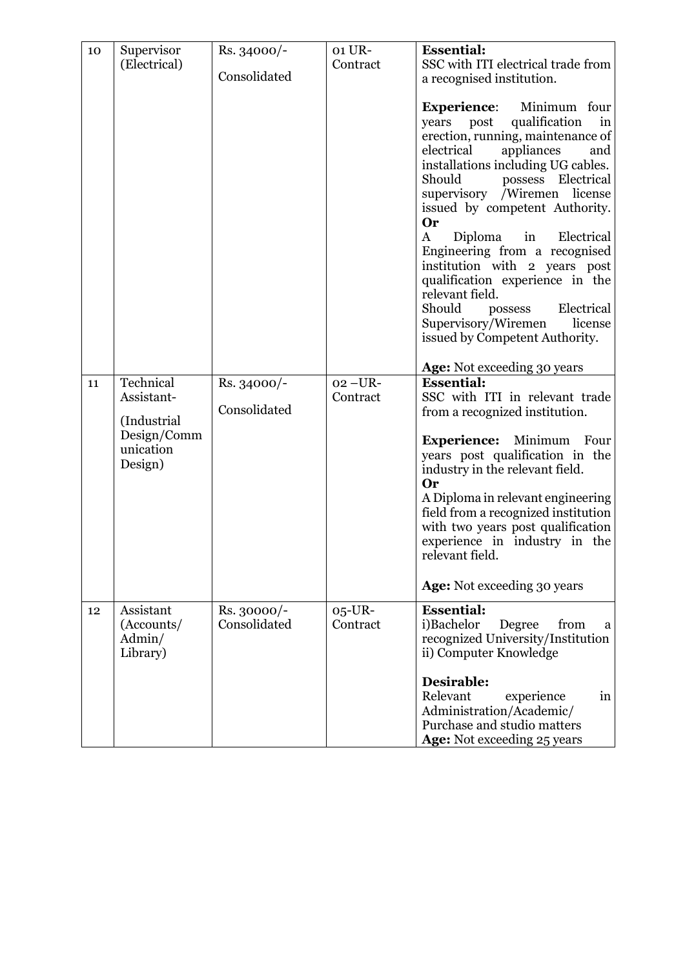| 10 | Supervisor<br>(Electrical)                                                    | Rs. 34000/-<br>Consolidated | 01 UR-<br>Contract      | <b>Essential:</b><br>SSC with ITI electrical trade from<br>a recognised institution.<br><b>Experience:</b><br>Minimum four<br>qualification<br>post<br>years<br>in<br>erection, running, maintenance of<br>electrical<br>appliances<br>and<br>installations including UG cables.<br>Should<br>possess Electrical<br>supervisory /Wiremen<br>license<br>issued by competent Authority.<br>Or<br>$\bf{A}$<br>Diploma<br>$\sin$<br>Electrical<br>Engineering from a recognised<br>institution with 2 years post<br>qualification experience in the<br>relevant field.<br>Should<br>Electrical<br>possess<br>Supervisory/Wiremen<br>license<br>issued by Competent Authority. |
|----|-------------------------------------------------------------------------------|-----------------------------|-------------------------|---------------------------------------------------------------------------------------------------------------------------------------------------------------------------------------------------------------------------------------------------------------------------------------------------------------------------------------------------------------------------------------------------------------------------------------------------------------------------------------------------------------------------------------------------------------------------------------------------------------------------------------------------------------------------|
| 11 | Technical<br>Assistant-<br>(Industrial<br>Design/Comm<br>unication<br>Design) | Rs. 34000/-<br>Consolidated | $02 - UR$ -<br>Contract | Age: Not exceeding 30 years<br><b>Essential:</b><br>SSC with ITI in relevant trade<br>from a recognized institution.<br><b>Experience:</b> Minimum<br>Four<br>years post qualification in the<br>industry in the relevant field.<br>Or<br>A Diploma in relevant engineering<br>field from a recognized institution<br>with two years post qualification<br>experience in industry in the<br>relevant field.<br><b>Age:</b> Not exceeding 30 years                                                                                                                                                                                                                         |
| 12 | Assistant<br>(Accounts/<br>Admin/<br>Library)                                 | Rs. 30000/-<br>Consolidated | $05$ -UR-<br>Contract   | <b>Essential:</b><br>i)Bachelor<br>from<br>Degree<br>a<br>recognized University/Institution<br>ii) Computer Knowledge<br>Desirable:<br>Relevant<br>experience<br>in<br>Administration/Academic/<br>Purchase and studio matters<br>Age: Not exceeding 25 years                                                                                                                                                                                                                                                                                                                                                                                                             |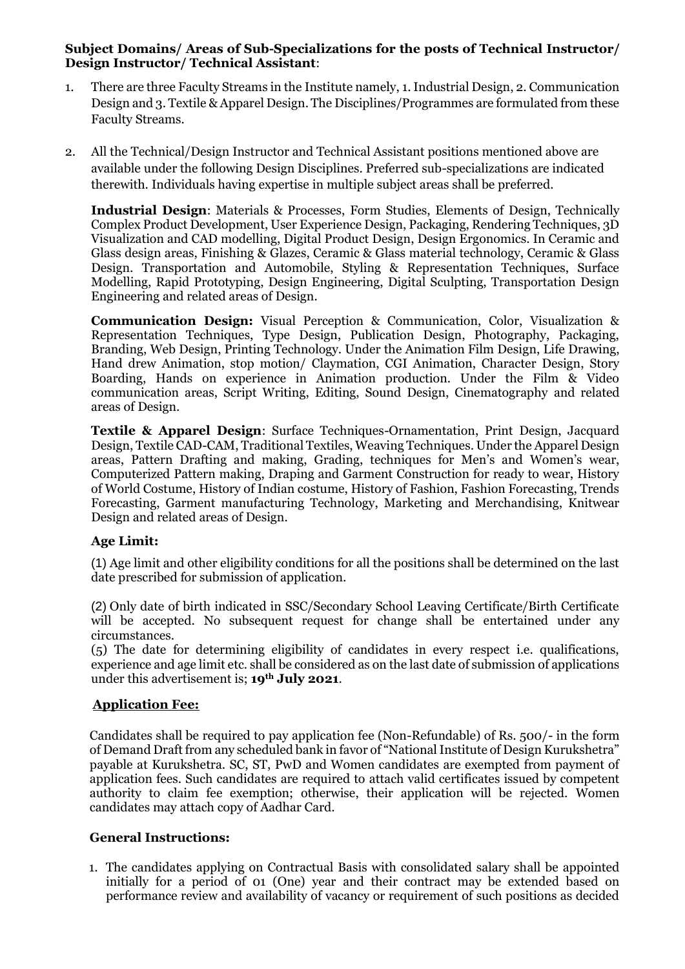### **Subject Domains/ Areas of Sub-Specializations for the posts of Technical Instructor/ Design Instructor/ Technical Assistant**:

- 1. There are three Faculty Streams in the Institute namely, 1. Industrial Design, 2. Communication Design and 3. Textile & Apparel Design. The Disciplines/Programmes are formulated from these Faculty Streams.
- 2. All the Technical/Design Instructor and Technical Assistant positions mentioned above are available under the following Design Disciplines. Preferred sub-specializations are indicated therewith. Individuals having expertise in multiple subject areas shall be preferred.

**Industrial Design**: Materials & Processes, Form Studies, Elements of Design, Technically Complex Product Development, User Experience Design, Packaging, Rendering Techniques, 3D Visualization and CAD modelling, Digital Product Design, Design Ergonomics. In Ceramic and Glass design areas, Finishing & Glazes, Ceramic & Glass material technology, Ceramic & Glass Design. Transportation and Automobile, Styling & Representation Techniques, Surface Modelling, Rapid Prototyping, Design Engineering, Digital Sculpting, Transportation Design Engineering and related areas of Design.

**Communication Design:** Visual Perception & Communication, Color, Visualization & Representation Techniques, Type Design, Publication Design, Photography, Packaging, Branding, Web Design, Printing Technology. Under the Animation Film Design, Life Drawing, Hand drew Animation, stop motion/ Claymation, CGI Animation, Character Design, Story Boarding, Hands on experience in Animation production. Under the Film & Video communication areas, Script Writing, Editing, Sound Design, Cinematography and related areas of Design.

**Textile & Apparel Design**: Surface Techniques-Ornamentation, Print Design, Jacquard Design, Textile CAD-CAM, Traditional Textiles, Weaving Techniques. Under the Apparel Design areas, Pattern Drafting and making, Grading, techniques for Men's and Women's wear, Computerized Pattern making, Draping and Garment Construction for ready to wear, History of World Costume, History of Indian costume, History of Fashion, Fashion Forecasting, Trends Forecasting, Garment manufacturing Technology, Marketing and Merchandising, Knitwear Design and related areas of Design.

#### **Age Limit:**

(1) Age limit and other eligibility conditions for all the positions shall be determined on the last date prescribed for submission of application.

(2) Only date of birth indicated in SSC/Secondary School Leaving Certificate/Birth Certificate will be accepted. No subsequent request for change shall be entertained under any circumstances.

(5) The date for determining eligibility of candidates in every respect i.e. qualifications, experience and age limit etc. shall be considered as on the last date of submission of applications under this advertisement is; **19th July 2021**.

#### **Application Fee:**

Candidates shall be required to pay application fee (Non-Refundable) of Rs. 500/- in the form of Demand Draft from any scheduled bank in favor of "National Institute of Design Kurukshetra" payable at Kurukshetra. SC, ST, PwD and Women candidates are exempted from payment of application fees. Such candidates are required to attach valid certificates issued by competent authority to claim fee exemption; otherwise, their application will be rejected. Women candidates may attach copy of Aadhar Card.

#### **General Instructions:**

1. The candidates applying on Contractual Basis with consolidated salary shall be appointed initially for a period of 01 (One) year and their contract may be extended based on performance review and availability of vacancy or requirement of such positions as decided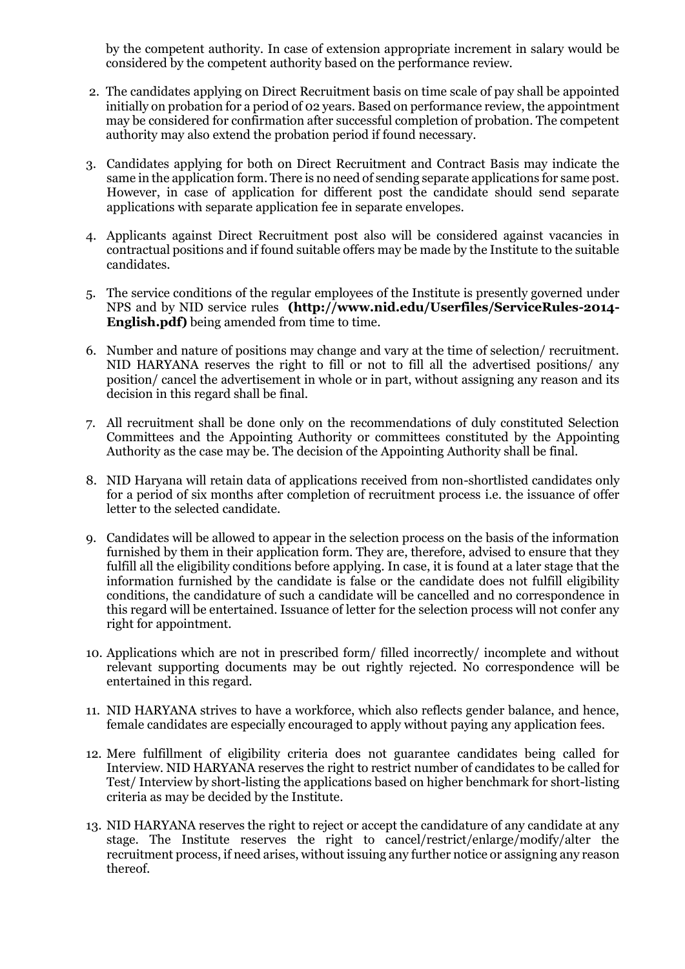by the competent authority. In case of extension appropriate increment in salary would be considered by the competent authority based on the performance review.

- 2. The candidates applying on Direct Recruitment basis on time scale of pay shall be appointed initially on probation for a period of 02 years. Based on performance review, the appointment may be considered for confirmation after successful completion of probation. The competent authority may also extend the probation period if found necessary.
- 3. Candidates applying for both on Direct Recruitment and Contract Basis may indicate the same in the application form. There is no need of sending separate applications for same post. However, in case of application for different post the candidate should send separate applications with separate application fee in separate envelopes.
- 4. Applicants against Direct Recruitment post also will be considered against vacancies in contractual positions and if found suitable offers may be made by the Institute to the suitable candidates.
- 5. The service conditions of the regular employees of the Institute is presently governed under NPS and by NID service rules **[\(http://www.nid.edu/Userfiles/ServiceRules-2014-](http://www.nid.edu/Userfiles/ServiceRules-2014-English.pdf) [English.pdf\)](http://www.nid.edu/Userfiles/ServiceRules-2014-English.pdf)** being amended from time to time.
- 6. Number and nature of positions may change and vary at the time of selection/ recruitment. NID HARYANA reserves the right to fill or not to fill all the advertised positions/ any position/ cancel the advertisement in whole or in part, without assigning any reason and its decision in this regard shall be final.
- 7. All recruitment shall be done only on the recommendations of duly constituted Selection Committees and the Appointing Authority or committees constituted by the Appointing Authority as the case may be. The decision of the Appointing Authority shall be final.
- 8. NID Haryana will retain data of applications received from non-shortlisted candidates only for a period of six months after completion of recruitment process i.e. the issuance of offer letter to the selected candidate.
- 9. Candidates will be allowed to appear in the selection process on the basis of the information furnished by them in their application form. They are, therefore, advised to ensure that they fulfill all the eligibility conditions before applying. In case, it is found at a later stage that the information furnished by the candidate is false or the candidate does not fulfill eligibility conditions, the candidature of such a candidate will be cancelled and no correspondence in this regard will be entertained. Issuance of letter for the selection process will not confer any right for appointment.
- 10. Applications which are not in prescribed form/ filled incorrectly/ incomplete and without relevant supporting documents may be out rightly rejected. No correspondence will be entertained in this regard.
- 11. NID HARYANA strives to have a workforce, which also reflects gender balance, and hence, female candidates are especially encouraged to apply without paying any application fees.
- 12. Mere fulfillment of eligibility criteria does not guarantee candidates being called for Interview. NID HARYANA reserves the right to restrict number of candidates to be called for Test/ Interview by short-listing the applications based on higher benchmark for short-listing criteria as may be decided by the Institute.
- 13. NID HARYANA reserves the right to reject or accept the candidature of any candidate at any stage. The Institute reserves the right to cancel/restrict/enlarge/modify/alter the recruitment process, if need arises, without issuing any further notice or assigning any reason thereof.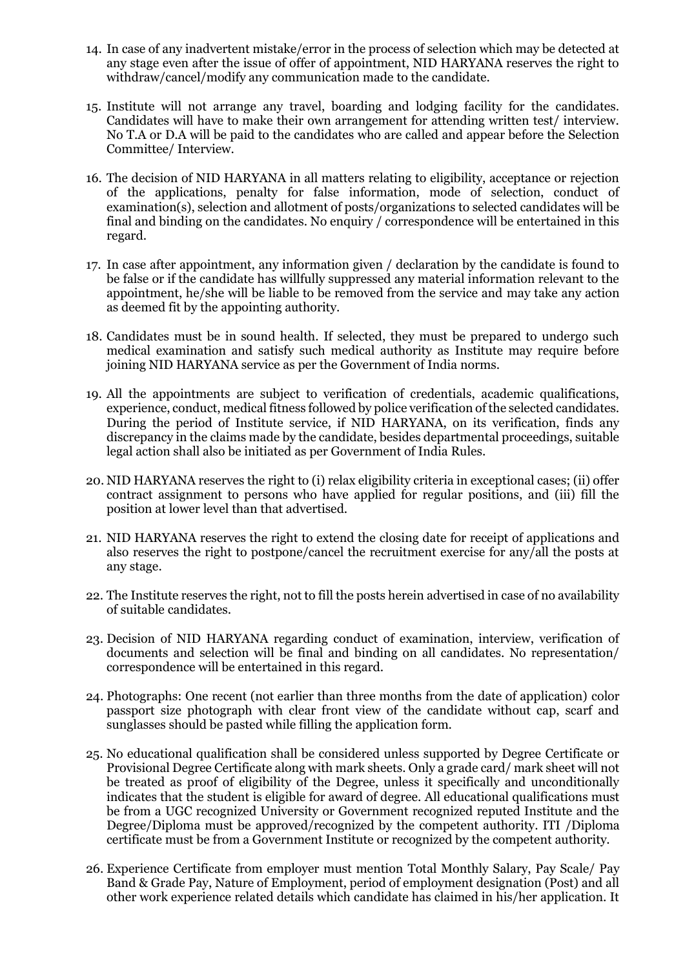- 14. In case of any inadvertent mistake/error in the process of selection which may be detected at any stage even after the issue of offer of appointment, NID HARYANA reserves the right to withdraw/cancel/modify any communication made to the candidate.
- 15. Institute will not arrange any travel, boarding and lodging facility for the candidates. Candidates will have to make their own arrangement for attending written test/ interview. No T.A or D.A will be paid to the candidates who are called and appear before the Selection Committee/ Interview.
- 16. The decision of NID HARYANA in all matters relating to eligibility, acceptance or rejection of the applications, penalty for false information, mode of selection, conduct of examination(s), selection and allotment of posts/organizations to selected candidates will be final and binding on the candidates. No enquiry / correspondence will be entertained in this regard.
- 17. In case after appointment, any information given / declaration by the candidate is found to be false or if the candidate has willfully suppressed any material information relevant to the appointment, he/she will be liable to be removed from the service and may take any action as deemed fit by the appointing authority.
- 18. Candidates must be in sound health. If selected, they must be prepared to undergo such medical examination and satisfy such medical authority as Institute may require before joining NID HARYANA service as per the Government of India norms.
- 19. All the appointments are subject to verification of credentials, academic qualifications, experience, conduct, medical fitness followed by police verification of the selected candidates. During the period of Institute service, if NID HARYANA, on its verification, finds any discrepancy in the claims made by the candidate, besides departmental proceedings, suitable legal action shall also be initiated as per Government of India Rules.
- 20. NID HARYANA reserves the right to (i) relax eligibility criteria in exceptional cases; (ii) offer contract assignment to persons who have applied for regular positions, and (iii) fill the position at lower level than that advertised.
- 21. NID HARYANA reserves the right to extend the closing date for receipt of applications and also reserves the right to postpone/cancel the recruitment exercise for any/all the posts at any stage.
- 22. The Institute reserves the right, not to fill the posts herein advertised in case of no availability of suitable candidates.
- 23. Decision of NID HARYANA regarding conduct of examination, interview, verification of documents and selection will be final and binding on all candidates. No representation/ correspondence will be entertained in this regard.
- 24. Photographs: One recent (not earlier than three months from the date of application) color passport size photograph with clear front view of the candidate without cap, scarf and sunglasses should be pasted while filling the application form.
- 25. No educational qualification shall be considered unless supported by Degree Certificate or Provisional Degree Certificate along with mark sheets. Only a grade card/ mark sheet will not be treated as proof of eligibility of the Degree, unless it specifically and unconditionally indicates that the student is eligible for award of degree. All educational qualifications must be from a UGC recognized University or Government recognized reputed Institute and the Degree/Diploma must be approved/recognized by the competent authority. ITI /Diploma certificate must be from a Government Institute or recognized by the competent authority.
- 26. Experience Certificate from employer must mention Total Monthly Salary, Pay Scale/ Pay Band & Grade Pay, Nature of Employment, period of employment designation (Post) and all other work experience related details which candidate has claimed in his/her application. It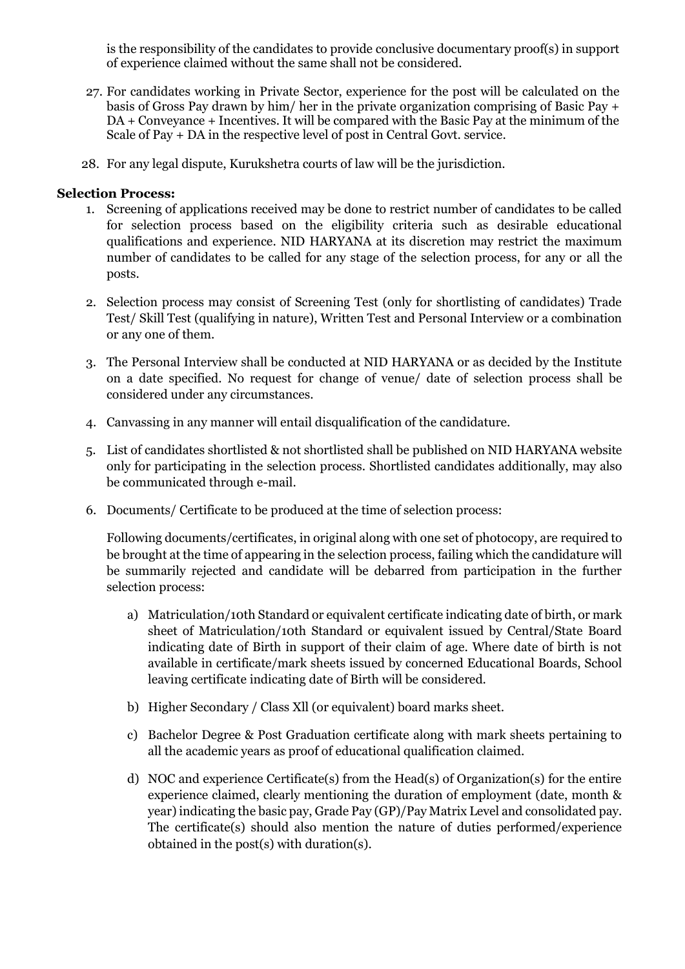is the responsibility of the candidates to provide conclusive documentary proof(s) in support of experience claimed without the same shall not be considered.

- 27. For candidates working in Private Sector, experience for the post will be calculated on the basis of Gross Pay drawn by him/ her in the private organization comprising of Basic Pay + DA + Conveyance + Incentives. It will be compared with the Basic Pay at the minimum of the Scale of Pay + DA in the respective level of post in Central Govt. service.
- 28. For any legal dispute, Kurukshetra courts of law will be the jurisdiction.

#### **Selection Process:**

- 1. Screening of applications received may be done to restrict number of candidates to be called for selection process based on the eligibility criteria such as desirable educational qualifications and experience. NID HARYANA at its discretion may restrict the maximum number of candidates to be called for any stage of the selection process, for any or all the posts.
- 2. Selection process may consist of Screening Test (only for shortlisting of candidates) Trade Test/ Skill Test (qualifying in nature), Written Test and Personal Interview or a combination or any one of them.
- 3. The Personal Interview shall be conducted at NID HARYANA or as decided by the Institute on a date specified. No request for change of venue/ date of selection process shall be considered under any circumstances.
- 4. Canvassing in any manner will entail disqualification of the candidature.
- 5. List of candidates shortlisted & not shortlisted shall be published on NID HARYANA website only for participating in the selection process. Shortlisted candidates additionally, may also be communicated through e-mail.
- 6. Documents/ Certificate to be produced at the time of selection process:

Following documents/certificates, in original along with one set of photocopy, are required to be brought at the time of appearing in the selection process, failing which the candidature will be summarily rejected and candidate will be debarred from participation in the further selection process:

- a) Matriculation/10th Standard or equivalent certificate indicating date of birth, or mark sheet of Matriculation/10th Standard or equivalent issued by Central/State Board indicating date of Birth in support of their claim of age. Where date of birth is not available in certificate/mark sheets issued by concerned Educational Boards, School leaving certificate indicating date of Birth will be considered.
- b) Higher Secondary / Class Xll (or equivalent) board marks sheet.
- c) Bachelor Degree & Post Graduation certificate along with mark sheets pertaining to all the academic years as proof of educational qualification claimed.
- d) NOC and experience Certificate(s) from the Head(s) of Organization(s) for the entire experience claimed, clearly mentioning the duration of employment (date, month & year) indicating the basic pay, Grade Pay (GP)/Pay Matrix Level and consolidated pay. The certificate(s) should also mention the nature of duties performed/experience obtained in the post(s) with duration(s).